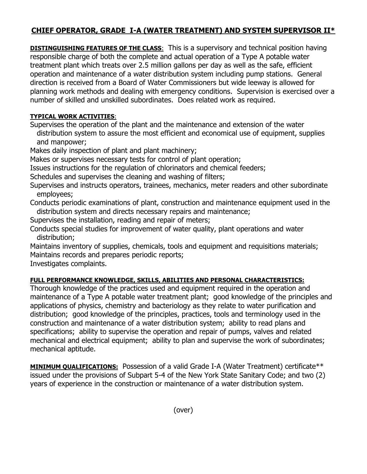## **CHIEF OPERATOR, GRADE I-A (WATER TREATMENT) AND SYSTEM SUPERVISOR II\***

**DISTINGUISHING FEATURES OF THE CLASS:** This is a supervisory and technical position having responsible charge of both the complete and actual operation of a Type A potable water treatment plant which treats over 2.5 million gallons per day as well as the safe, efficient operation and maintenance of a water distribution system including pump stations. General direction is received from a Board of Water Commissioners but wide leeway is allowed for planning work methods and dealing with emergency conditions. Supervision is exercised over a number of skilled and unskilled subordinates. Does related work as required.

## **TYPICAL WORK ACTIVITIES**:

Supervises the operation of the plant and the maintenance and extension of the water distribution system to assure the most efficient and economical use of equipment, supplies and manpower;

Makes daily inspection of plant and plant machinery;

Makes or supervises necessary tests for control of plant operation;

Issues instructions for the regulation of chlorinators and chemical feeders;

Schedules and supervises the cleaning and washing of filters;

Supervises and instructs operators, trainees, mechanics, meter readers and other subordinate employees;

Conducts periodic examinations of plant, construction and maintenance equipment used in the distribution system and directs necessary repairs and maintenance;

Supervises the installation, reading and repair of meters;

Conducts special studies for improvement of water quality, plant operations and water distribution;

Maintains inventory of supplies, chemicals, tools and equipment and requisitions materials; Maintains records and prepares periodic reports;

Investigates complaints.

## **FULL PERFORMANCE KNOWLEDGE, SKILLS, ABILITIES AND PERSONAL CHARACTERISTICS:**

Thorough knowledge of the practices used and equipment required in the operation and maintenance of a Type A potable water treatment plant; good knowledge of the principles and applications of physics, chemistry and bacteriology as they relate to water purification and distribution; good knowledge of the principles, practices, tools and terminology used in the construction and maintenance of a water distribution system; ability to read plans and specifications; ability to supervise the operation and repair of pumps, valves and related mechanical and electrical equipment; ability to plan and supervise the work of subordinates; mechanical aptitude.

**MINIMUM QUALIFICATIONS:** Possession of a valid Grade I-A (Water Treatment) certificate\*\* issued under the provisions of Subpart 5-4 of the New York State Sanitary Code; and two (2) years of experience in the construction or maintenance of a water distribution system.

(over)